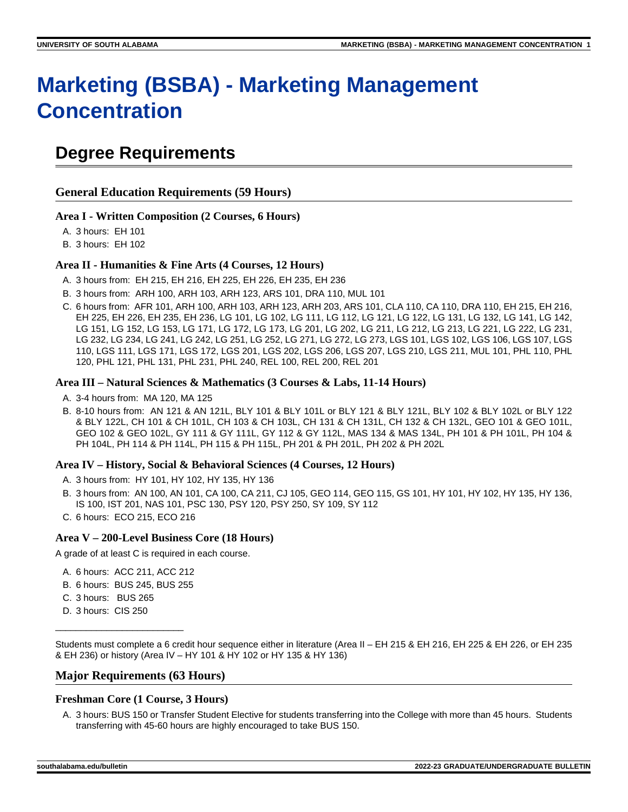# **Marketing (BSBA) - Marketing Management Concentration**

# **Degree Requirements**

**General Education Requirements (59 Hours)**

### **Area I - Written Composition (2 Courses, 6 Hours)**

A. 3 hours: EH 101

B. 3 hours: EH 102

#### **Area II - Humanities & Fine Arts (4 Courses, 12 Hours)**

- A. 3 hours from: EH 215, EH 216, EH 225, EH 226, EH 235, EH 236
- B. 3 hours from: ARH 100, ARH 103, ARH 123, ARS 101, DRA 110, MUL 101
- C. 6 hours from: AFR 101, ARH 100, ARH 103, ARH 123, ARH 203, ARS 101, CLA 110, CA 110, DRA 110, EH 215, EH 216, EH 225, EH 226, EH 235, EH 236, LG 101, LG 102, LG 111, LG 112, LG 121, LG 122, LG 131, LG 132, LG 141, LG 142, LG 151, LG 152, LG 153, LG 171, LG 172, LG 173, LG 201, LG 202, LG 211, LG 212, LG 213, LG 221, LG 222, LG 231, LG 232, LG 234, LG 241, LG 242, LG 251, LG 252, LG 271, LG 272, LG 273, LGS 101, LGS 102, LGS 106, LGS 107, LGS 110, LGS 111, LGS 171, LGS 172, LGS 201, LGS 202, LGS 206, LGS 207, LGS 210, LGS 211, MUL 101, PHL 110, PHL 120, PHL 121, PHL 131, PHL 231, PHL 240, REL 100, REL 200, REL 201

#### **Area III – Natural Sciences & Mathematics (3 Courses & Labs, 11-14 Hours)**

- A. 3-4 hours from: MA 120, MA 125
- B. 8-10 hours from: AN 121 & AN 121L, BLY 101 & BLY 101L or BLY 121 & BLY 121L, BLY 102 & BLY 102L or BLY 122 & BLY 122L, CH 101 & CH 101L, CH 103 & CH 103L, CH 131 & CH 131L, CH 132 & CH 132L, GEO 101 & GEO 101L, GEO 102 & GEO 102L, GY 111 & GY 111L, GY 112 & GY 112L, MAS 134 & MAS 134L, PH 101 & PH 101L, PH 104 & PH 104L, PH 114 & PH 114L, PH 115 & PH 115L, PH 201 & PH 201L, PH 202 & PH 202L

#### **Area IV – History, Social & Behavioral Sciences (4 Courses, 12 Hours)**

- A. 3 hours from: HY 101, HY 102, HY 135, HY 136
- B. 3 hours from: AN 100, AN 101, CA 100, CA 211, CJ 105, GEO 114, GEO 115, GS 101, HY 101, HY 102, HY 135, HY 136, IS 100, IST 201, NAS 101, PSC 130, PSY 120, PSY 250, SY 109, SY 112
- C. 6 hours: ECO 215, ECO 216

#### **Area V – 200-Level Business Core (18 Hours)**

A grade of at least C is required in each course.

- A. 6 hours: ACC 211, ACC 212
- B. 6 hours: BUS 245, BUS 255
- C. 3 hours: BUS 265
- D. 3 hours: CIS 250

\_\_\_\_\_\_\_\_\_\_\_\_\_\_\_\_\_\_\_\_\_\_\_\_\_

Students must complete a 6 credit hour sequence either in literature (Area II – EH 215 & EH 216, EH 225 & EH 226, or EH 235 & EH 236) or history (Area IV – HY 101 & HY 102 or HY 135 & HY 136)

#### **Major Requirements (63 Hours)**

# **Freshman Core (1 Course, 3 Hours)**

A. 3 hours: BUS 150 or Transfer Student Elective for students transferring into the College with more than 45 hours. Students transferring with 45-60 hours are highly encouraged to take BUS 150.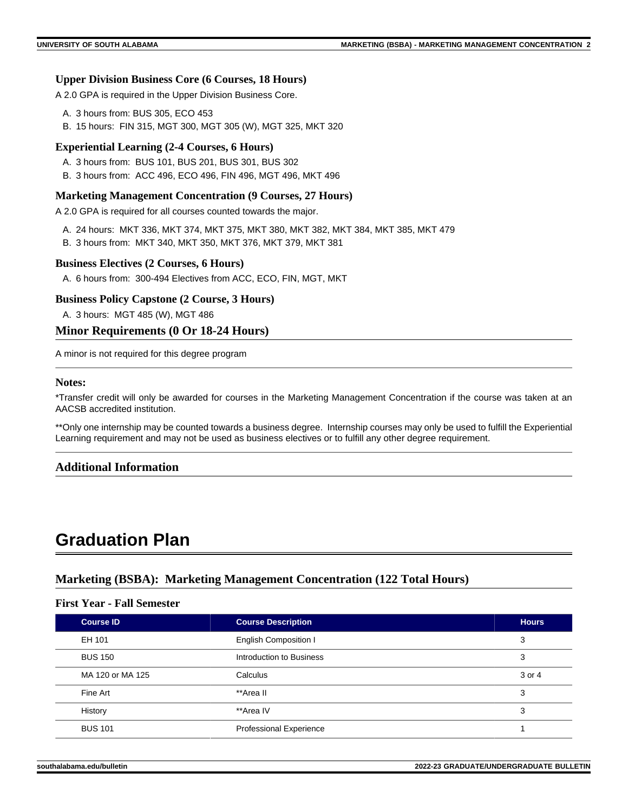# **Upper Division Business Core (6 Courses, 18 Hours)**

A 2.0 GPA is required in the Upper Division Business Core.

- A. 3 hours from: BUS 305, ECO 453
- B. 15 hours: FIN 315, MGT 300, MGT 305 (W), MGT 325, MKT 320

#### **Experiential Learning (2-4 Courses, 6 Hours)**

- A. 3 hours from: BUS 101, BUS 201, BUS 301, BUS 302
- B. 3 hours from: ACC 496, ECO 496, FIN 496, MGT 496, MKT 496

#### **Marketing Management Concentration (9 Courses, 27 Hours)**

A 2.0 GPA is required for all courses counted towards the major.

- A. 24 hours: MKT 336, MKT 374, MKT 375, MKT 380, MKT 382, MKT 384, MKT 385, MKT 479
- B. 3 hours from: MKT 340, MKT 350, MKT 376, MKT 379, MKT 381

#### **Business Electives (2 Courses, 6 Hours)**

A. 6 hours from: 300-494 Electives from ACC, ECO, FIN, MGT, MKT

#### **Business Policy Capstone (2 Course, 3 Hours)**

A. 3 hours: MGT 485 (W), MGT 486

## **Minor Requirements (0 Or 18-24 Hours)**

A minor is not required for this degree program

## **Notes:**

\*Transfer credit will only be awarded for courses in the Marketing Management Concentration if the course was taken at an AACSB accredited institution.

\*\*Only one internship may be counted towards a business degree. Internship courses may only be used to fulfill the Experiential Learning requirement and may not be used as business electives or to fulfill any other degree requirement.

# **Additional Information**

# **Graduation Plan**

# **Marketing (BSBA): Marketing Management Concentration (122 Total Hours)**

# **First Year - Fall Semester**

| <b>Course ID</b> | <b>Course Description</b>      | <b>Hours</b> |
|------------------|--------------------------------|--------------|
| EH 101           | <b>English Composition I</b>   | 3            |
| <b>BUS 150</b>   | Introduction to Business       | 3            |
| MA 120 or MA 125 | Calculus                       | 3 or 4       |
| Fine Art         | **Area II                      | 3            |
| History          | **Area IV                      | 3            |
| <b>BUS 101</b>   | <b>Professional Experience</b> |              |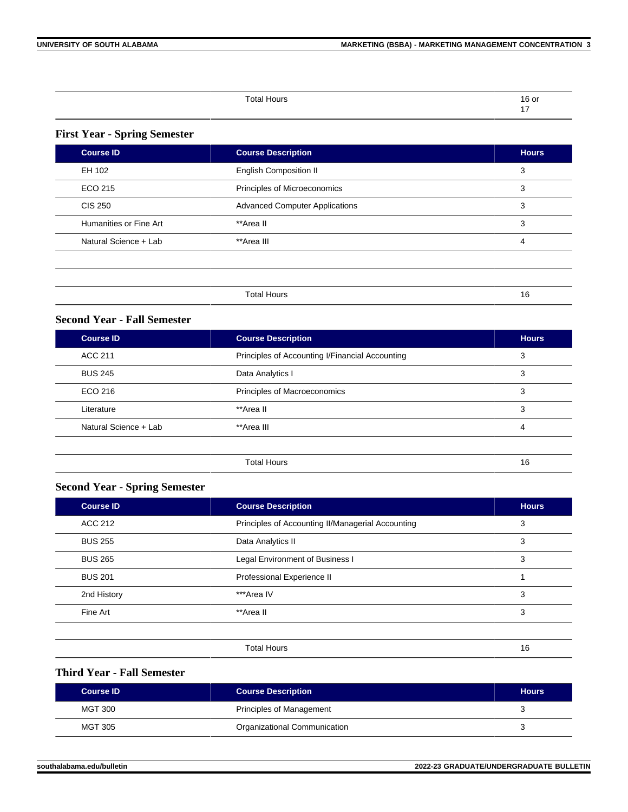| Total Hours | $\sim$<br>ו ש |
|-------------|---------------|
|             |               |

# **First Year - Spring Semester**

| <b>Course ID</b>       | <b>Course Description</b>             | <b>Hours</b> |
|------------------------|---------------------------------------|--------------|
| EH 102                 | <b>English Composition II</b>         | 3            |
| ECO 215                | Principles of Microeconomics          | 3            |
| <b>CIS 250</b>         | <b>Advanced Computer Applications</b> | 3            |
| Humanities or Fine Art | **Area II                             | 3            |
| Natural Science + Lab  | **Area III                            | 4            |
|                        |                                       |              |
|                        |                                       |              |
|                        | <b>Total Hours</b>                    | 16           |

# **Second Year - Fall Semester**

| <b>Hours</b> |
|--------------|
| 3            |
| 3            |
| 3            |
| 3            |
| 4            |
|              |
| 16           |
|              |

# **Second Year - Spring Semester**

| <b>Course ID</b><br><b>Course Description</b> |                                                   | <b>Hours</b> |
|-----------------------------------------------|---------------------------------------------------|--------------|
| <b>ACC 212</b>                                | Principles of Accounting II/Managerial Accounting |              |
| <b>BUS 255</b>                                | Data Analytics II                                 | 3            |
| <b>BUS 265</b>                                | <b>Legal Environment of Business I</b>            | 3            |
| <b>BUS 201</b>                                | Professional Experience II                        |              |
| 2nd History                                   | ***Area IV                                        | 3            |
| Fine Art                                      | **Area II                                         | 3            |
|                                               |                                                   |              |
|                                               | <b>Total Hours</b>                                | 16           |

# **Third Year - Fall Semester**

| Course ID | <b>Course Description</b>    | <b>Hours</b> |
|-----------|------------------------------|--------------|
| MGT 300   | Principles of Management     |              |
| MGT 305   | Organizational Communication |              |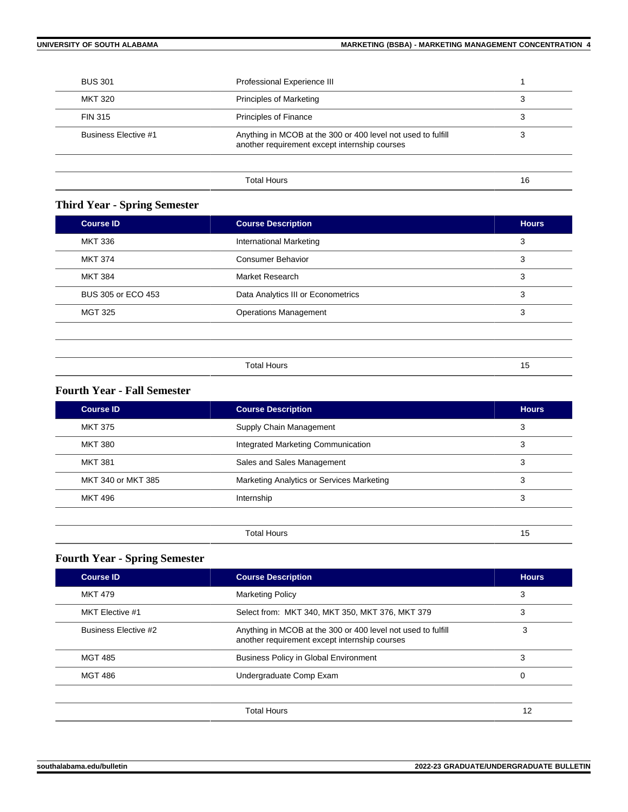| <b>BUS 301</b>                            | Professional Experience III                                                                                   |    |
|-------------------------------------------|---------------------------------------------------------------------------------------------------------------|----|
| MKT 320<br><b>Principles of Marketing</b> |                                                                                                               | 3  |
| FIN 315                                   | <b>Principles of Finance</b>                                                                                  |    |
| <b>Business Elective #1</b>               | Anything in MCOB at the 300 or 400 level not used to fulfill<br>another requirement except internship courses | っ  |
|                                           |                                                                                                               |    |
|                                           | <b>Total Hours</b>                                                                                            | 16 |

# **Third Year - Spring Semester**

| <b>MKT 336</b><br>International Marketing<br>3<br>MKT 374<br>Consumer Behavior<br>3 |  |
|-------------------------------------------------------------------------------------|--|
|                                                                                     |  |
|                                                                                     |  |
| <b>MKT 384</b><br>Market Research<br>3                                              |  |
| BUS 305 or ECO 453<br>Data Analytics III or Econometrics<br>3                       |  |
| <b>Operations Management</b><br>MGT 325<br>3                                        |  |

| <b>Total Hours</b> | -<br>. . |  |
|--------------------|----------|--|
|--------------------|----------|--|

# **Fourth Year - Fall Semester**

| <b>Course ID</b>             | <b>Course Description</b>                 |    |
|------------------------------|-------------------------------------------|----|
| <b>MKT 375</b>               | Supply Chain Management                   |    |
| <b>MKT 380</b>               | Integrated Marketing Communication        |    |
| <b>MKT 381</b>               | Sales and Sales Management                | 3  |
| MKT 340 or MKT 385           | Marketing Analytics or Services Marketing | 3  |
| <b>MKT 496</b><br>Internship |                                           | 3  |
|                              |                                           |    |
|                              | <b>Total Hours</b>                        | 15 |

# **Fourth Year - Spring Semester**

| <b>Course Description</b><br><b>Course ID</b>                      |                                                                                                               | <b>Hours</b> |
|--------------------------------------------------------------------|---------------------------------------------------------------------------------------------------------------|--------------|
| <b>MKT 479</b><br><b>Marketing Policy</b>                          |                                                                                                               | 3            |
| Select from: MKT 340, MKT 350, MKT 376, MKT 379<br>MKT Elective #1 |                                                                                                               | 3            |
| Business Elective #2                                               | Anything in MCOB at the 300 or 400 level not used to fulfill<br>another requirement except internship courses | 3            |
| <b>MGT 485</b>                                                     | <b>Business Policy in Global Environment</b>                                                                  | 3            |
| <b>MGT 486</b><br>Undergraduate Comp Exam                          |                                                                                                               | 0            |
|                                                                    |                                                                                                               |              |
|                                                                    | <b>Total Hours</b>                                                                                            | 12           |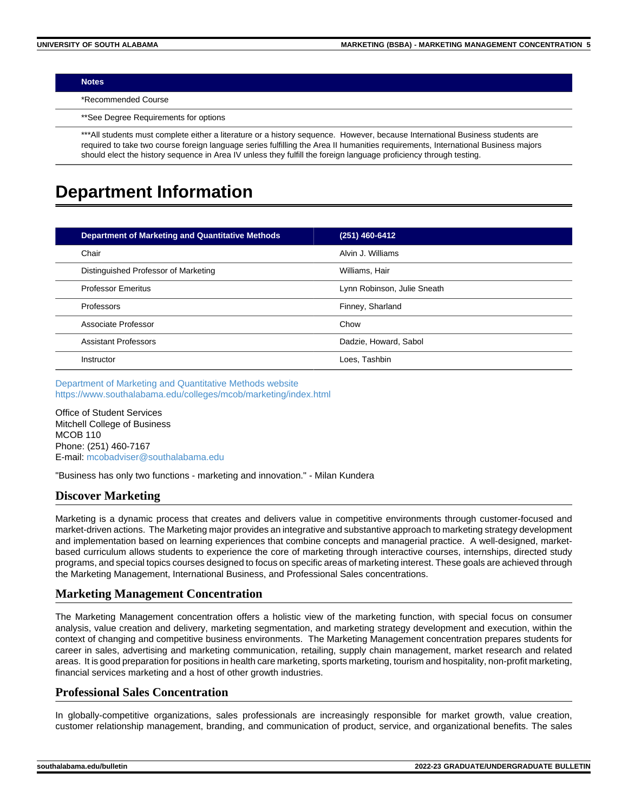#### **Notes**

\*Recommended Course

\*\*See Degree Requirements for options

\*\*\*All students must complete either a literature or a history sequence. However, because International Business students are required to take two course foreign language series fulfilling the Area II humanities requirements, International Business majors should elect the history sequence in Area IV unless they fulfill the foreign language proficiency through testing.

# **Department Information**

| <b>Department of Marketing and Quantitative Methods</b> | (251) 460-6412              |
|---------------------------------------------------------|-----------------------------|
| Chair                                                   | Alvin J. Williams           |
| Distinguished Professor of Marketing                    | Williams, Hair              |
| <b>Professor Emeritus</b>                               | Lynn Robinson, Julie Sneath |
| Professors                                              | Finney, Sharland            |
| Associate Professor                                     | Chow                        |
| <b>Assistant Professors</b>                             | Dadzie, Howard, Sabol       |
| Instructor                                              | Loes, Tashbin               |

[Department of Marketing and Quantitative Methods website](https://www.southalabama.edu/colleges/mcob/marketing) <https://www.southalabama.edu/colleges/mcob/marketing/index.html>

Office of Student Services Mitchell College of Business MCOB 110 Phone: (251) 460-7167 E-mail: [mcobadviser@southalabama.edu](mailto:mcobadviser@southalabama.edu?subject=)

"Business has only two functions - marketing and innovation." - Milan Kundera

# **Discover Marketing**

Marketing is a dynamic process that creates and delivers value in competitive environments through customer-focused and market-driven actions. The Marketing major provides an integrative and substantive approach to marketing strategy development and implementation based on learning experiences that combine concepts and managerial practice. A well-designed, marketbased curriculum allows students to experience the core of marketing through interactive courses, internships, directed study programs, and special topics courses designed to focus on specific areas of marketing interest. These goals are achieved through the Marketing Management, International Business, and Professional Sales concentrations.

# **Marketing Management Concentration**

The Marketing Management concentration offers a holistic view of the marketing function, with special focus on consumer analysis, value creation and delivery, marketing segmentation, and marketing strategy development and execution, within the context of changing and competitive business environments. The Marketing Management concentration prepares students for career in sales, advertising and marketing communication, retailing, supply chain management, market research and related areas. It is good preparation for positions in health care marketing, sports marketing, tourism and hospitality, non-profit marketing, financial services marketing and a host of other growth industries.

# **Professional Sales Concentration**

In globally-competitive organizations, sales professionals are increasingly responsible for market growth, value creation, customer relationship management, branding, and communication of product, service, and organizational benefits. The sales